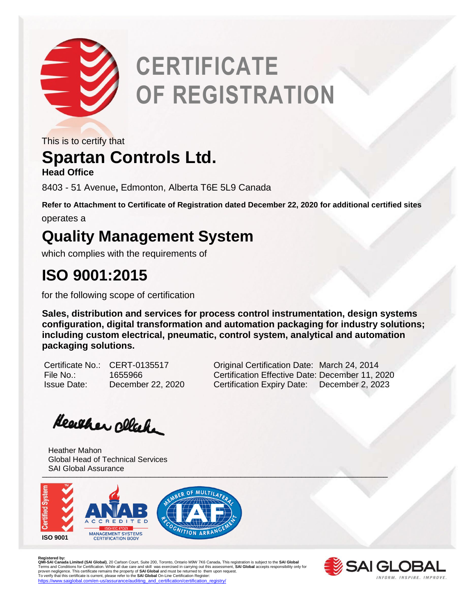

# **CERTIFICATE OF REGISTRATION**

This is to certify that

## **Spartan Controls Ltd.**

**Head Office**

8403 - 51 Avenue**,** Edmonton, Alberta T6E 5L9 Canada

**Refer to Attachment to Certificate of Registration dated December 22, 2020 for additional certified sites**

operates a

## **Quality Management System**

which complies with the requirements of

### **ISO 9001:2015**

for the following scope of certification

**Sales, distribution and services for process control instrumentation, design systems configuration, digital transformation and automation packaging for industry solutions; including custom electrical, pneumatic, control system, analytical and automation packaging solutions.** 

Certificate No.: CERT-0135517 Original Certification Date: March 24, 2014 File No.: 1655966 Certification Effective Date: December 11, 2020 Issue Date: December 22, 2020 Certification Expiry Date: December 2, 2023

Heather click

University of the contract of the contract of the contract of the contract of the contract of the contract of Heather Mahon Global Head of Technical Services SAI Global Assurance



Registered by:<br>**QMI-SA Landa Limited (SAI Global)**, 20 Carlson Court, Suite 200, Toronto, Ontario M9W 7K6 Canada. This registration is subject to the **SAI Global**<br>Terms and Conditions for Certification. While all due care

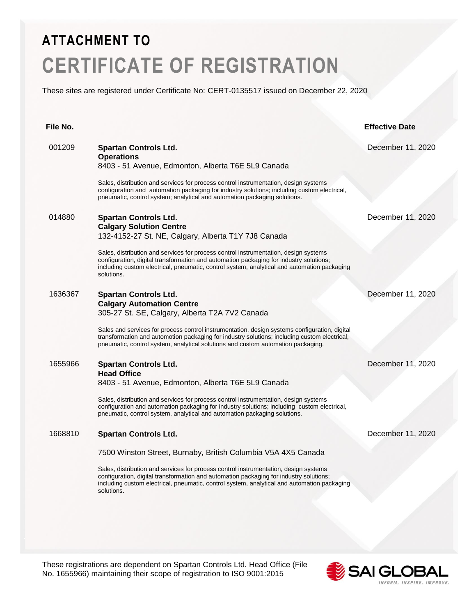# **ATTACHMENT TO CERTIFICATE OF REGISTRATION**

These sites are registered under Certificate No: CERT-0135517 issued on December 22, 2020

**File No. Effective Date**

| 001209  | <b>Spartan Controls Ltd.</b><br><b>Operations</b><br>8403 - 51 Avenue, Edmonton, Alberta T6E 5L9 Canada<br>Sales, distribution and services for process control instrumentation, design systems<br>configuration and automation packaging for industry solutions; including custom electrical,<br>pneumatic, control system; analytical and automation packaging solutions.                                          | December 11, 2020 |
|---------|----------------------------------------------------------------------------------------------------------------------------------------------------------------------------------------------------------------------------------------------------------------------------------------------------------------------------------------------------------------------------------------------------------------------|-------------------|
| 014880  | <b>Spartan Controls Ltd.</b><br><b>Calgary Solution Centre</b><br>132-4152-27 St. NE, Calgary, Alberta T1Y 7J8 Canada<br>Sales, distribution and services for process control instrumentation, design systems<br>configuration, digital transformation and automation packaging for industry solutions;<br>including custom electrical, pneumatic, control system, analytical and automation packaging<br>solutions. | December 11, 2020 |
| 1636367 | <b>Spartan Controls Ltd.</b><br><b>Calgary Automation Centre</b><br>305-27 St. SE, Calgary, Alberta T2A 7V2 Canada<br>Sales and services for process control instrumentation, design systems configuration, digital<br>transformation and automotion packaging for industry solutions; including custom electrical,<br>pneumatic, control system, analytical solutions and custom automation packaging.              | December 11, 2020 |
| 1655966 | <b>Spartan Controls Ltd.</b><br><b>Head Office</b><br>8403 - 51 Avenue, Edmonton, Alberta T6E 5L9 Canada<br>Sales, distribution and services for process control instrumentation, design systems<br>configuration and automation packaging for industry solutions; including custom electrical,<br>pneumatic, control system, analytical and automation packaging solutions.                                         | December 11, 2020 |
| 1668810 | <b>Spartan Controls Ltd.</b><br>7500 Winston Street, Burnaby, British Columbia V5A 4X5 Canada<br>Sales, distribution and services for process control instrumentation, design systems<br>configuration, digital transformation and automation packaging for industry solutions;<br>including custom electrical, pneumatic, control system, analytical and automation packaging<br>solutions.                         | December 11, 2020 |

These registrations are dependent on Spartan Controls Ltd. Head Office (File No. 1655966) maintaining their scope of registration to ISO 9001:2015